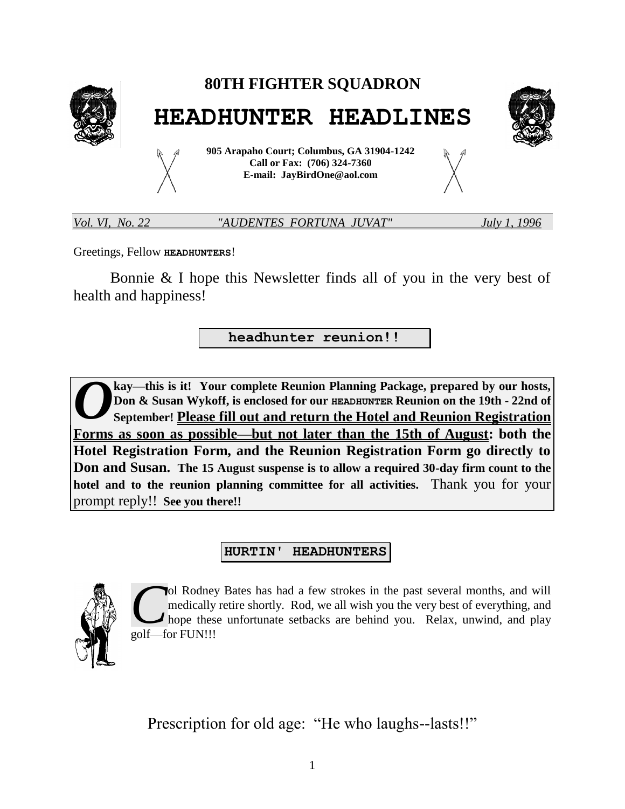

Greetings, Fellow **HEADHUNTERS**!

Bonnie & I hope this Newsletter finds all of you in the very best of health and happiness!

**headhunter reunion!!**

**kay—this is it! Your complete Reunion Planning Package, prepared by our hosts, Don & Susan Wykoff, is enclosed for our HEADHUNTER Reunion on the 19th - 22nd of September! Please fill out and return the Hotel and Reunion Registration Forms as soon as possible—but not later than the 15th of August: both the Hotel Registration Form, and the Reunion Registration Form go directly to Don and Susan. The 15 August suspense is to allow a required 30-day firm count to the hotel and to the reunion planning committee for all activities.** Thank you for your prompt reply!! **See you there!!** *O*

#### **HURTIN' HEADHUNTERS**



ol Rodney Bates has had a few strokes in the past several months, and will medically retire shortly. Rod, we all wish you the very best of everything, and hope these unfortunate setbacks are behind you. Relax, unwind, and play golf—for FUN!!! *C*

Prescription for old age: "He who laughs--lasts!!"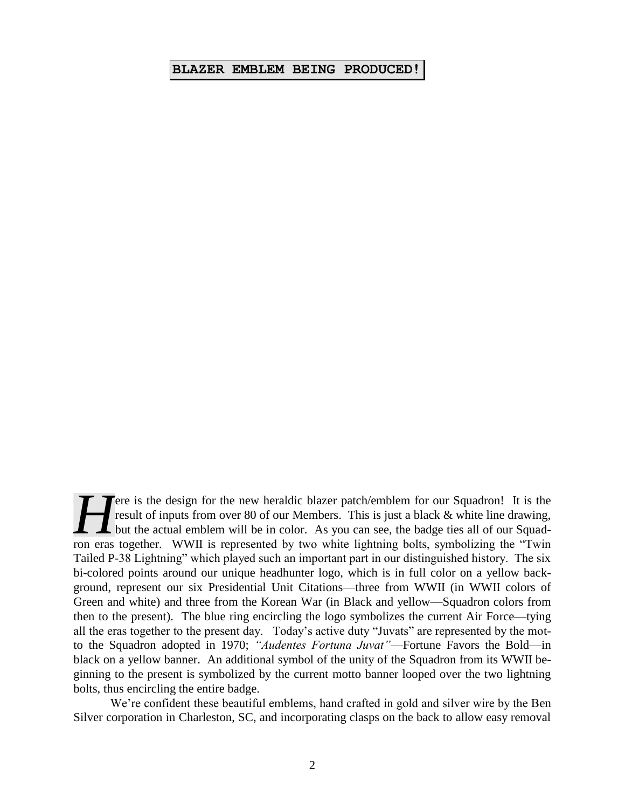#### **BLAZER EMBLEM BEING PRODUCED!**

ere is the design for the new heraldic blazer patch/emblem for our Squadron! It is the result of inputs from over 80 of our Members. This is just a black & white line drawing, I but the actual emblem will be in color. As you can see, the badge ties all of our Squad-**Figure 19** and the design for the new heraldic blazer patch/emblem for our Squadron! It is the result of inputs from over 80 of our Members. This is just a black & white line drawing, but the actual emblem will be in colo Tailed P-38 Lightning" which played such an important part in our distinguished history. The six bi-colored points around our unique headhunter logo, which is in full color on a yellow background, represent our six Presidential Unit Citations—three from WWII (in WWII colors of Green and white) and three from the Korean War (in Black and yellow—Squadron colors from then to the present). The blue ring encircling the logo symbolizes the current Air Force—tying all the eras together to the present day. Today's active duty "Juvats" are represented by the motto the Squadron adopted in 1970; *"Audentes Fortuna Juvat"*—Fortune Favors the Bold—in black on a yellow banner. An additional symbol of the unity of the Squadron from its WWII beginning to the present is symbolized by the current motto banner looped over the two lightning bolts, thus encircling the entire badge.

We're confident these beautiful emblems, hand crafted in gold and silver wire by the Ben Silver corporation in Charleston, SC, and incorporating clasps on the back to allow easy removal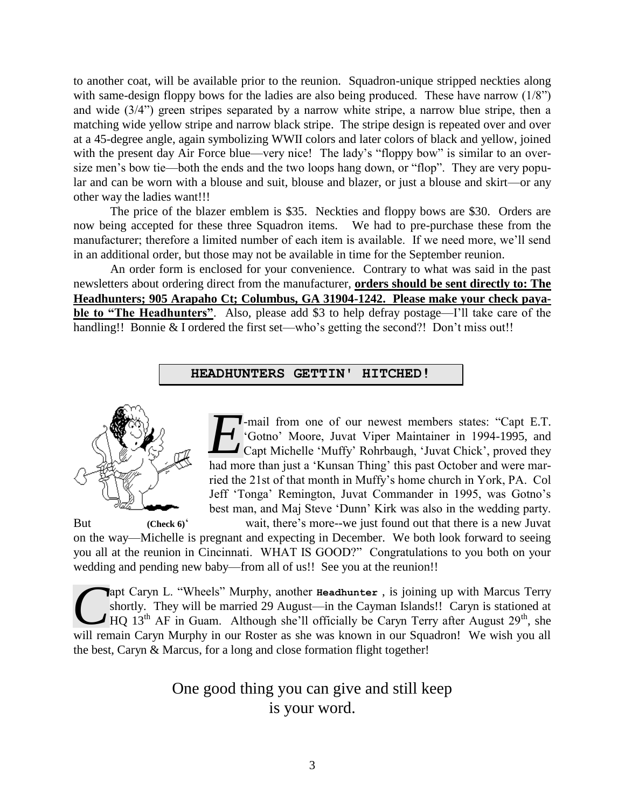to another coat, will be available prior to the reunion. Squadron-unique stripped neckties along with same-design floppy bows for the ladies are also being produced. These have narrow (1/8") and wide (3/4") green stripes separated by a narrow white stripe, a narrow blue stripe, then a matching wide yellow stripe and narrow black stripe. The stripe design is repeated over and over at a 45-degree angle, again symbolizing WWII colors and later colors of black and yellow, joined with the present day Air Force blue—very nice! The lady's "floppy bow" is similar to an oversize men's bow tie—both the ends and the two loops hang down, or "flop". They are very popular and can be worn with a blouse and suit, blouse and blazer, or just a blouse and skirt—or any other way the ladies want!!!

The price of the blazer emblem is \$35. Neckties and floppy bows are \$30. Orders are now being accepted for these three Squadron items. We had to pre-purchase these from the manufacturer; therefore a limited number of each item is available. If we need more, we'll send in an additional order, but those may not be available in time for the September reunion.

An order form is enclosed for your convenience. Contrary to what was said in the past newsletters about ordering direct from the manufacturer, **orders should be sent directly to: The Headhunters; 905 Arapaho Ct; Columbus, GA 31904-1242. Please make your check payable to "The Headhunters"**. Also, please add \$3 to help defray postage—I'll take care of the handling!! Bonnie & I ordered the first set—who's getting the second?! Don't miss out!!

#### **HEADHUNTERS GETTIN' HITCHED!**



-mail from one of our newest members states: "Capt E.T. 'Gotno' Moore, Juvat Viper Maintainer in 1994-1995, and Figure 1. The Capt E.T.<br> **EXECUTE:** Gotno' Moore, Juvat Viper Maintainer in 1994-1995, and<br>
Capt Michelle 'Muffy' Rohrbaugh, 'Juvat Chick', proved they had more than just a 'Kunsan Thine' this next Ostaben and were more had more than just a 'Kunsan Thing' this past October and were married the 21st of that month in Muffy's home church in York, PA. Col Jeff 'Tonga' Remington, Juvat Commander in 1995, was Gotno's best man, and Maj Steve 'Dunn' Kirk was also in the wedding party.

But **(Check 6)**<sup>'</sup> wait, there's more--we just found out that there is a new Juvat on the way—Michelle is pregnant and expecting in December. We both look forward to seeing you all at the reunion in Cincinnati. WHAT IS GOOD?" Congratulations to you both on your wedding and pending new baby—from all of us!! See you at the reunion!!

apt Caryn L. "Wheels" Murphy, another **Headhunter** , is joining up with Marcus Terry shortly. They will be married 29 August—in the Cayman Islands!! Caryn is stationed at  $\blacktriangleright$  HQ 13<sup>th</sup> AF in Guam. Although she'll officially be Caryn Terry after August 29<sup>th</sup>, she apt Caryn L. "Wheels" Murphy, another **Headhunter**, is joining up with Marcus Terry shortly. They will be married 29 August—in the Cayman Islands!! Caryn is stationed at HQ 13<sup>th</sup> AF in Guam. Although she'll officially be the best, Caryn & Marcus, for a long and close formation flight together!

> One good thing you can give and still keep is your word.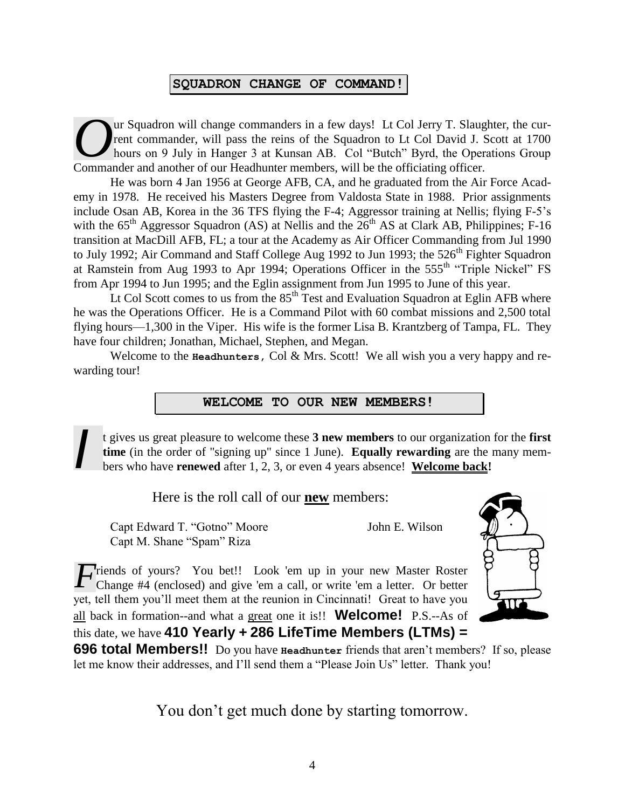#### **SQUADRON CHANGE OF COMMAND!**

ur Squadron will change commanders in a few days! Lt Col Jerry T. Slaughter, the current commander, will pass the reins of the Squadron to Lt Col David J. Scott at 1700 hours on 9 July in Hanger 3 at Kunsan AB. Col "Butch" Byrd, the Operations Group Commander, will change commanders in a few days! Lt Col Jerry T. Slaughter of perfection and another of our Headhunter members, will be the officiating officer.

He was born 4 Jan 1956 at George AFB, CA, and he graduated from the Air Force Academy in 1978. He received his Masters Degree from Valdosta State in 1988. Prior assignments include Osan AB, Korea in the 36 TFS flying the F-4; Aggressor training at Nellis; flying F-5's with the  $65<sup>th</sup>$  Aggressor Squadron (AS) at Nellis and the  $26<sup>th</sup>$  AS at Clark AB, Philippines; F-16 transition at MacDill AFB, FL; a tour at the Academy as Air Officer Commanding from Jul 1990 to July 1992; Air Command and Staff College Aug 1992 to Jun 1993; the  $526<sup>th</sup>$  Fighter Squadron at Ramstein from Aug 1993 to Apr 1994; Operations Officer in the 555<sup>th</sup> "Triple Nickel" FS from Apr 1994 to Jun 1995; and the Eglin assignment from Jun 1995 to June of this year.

Lt Col Scott comes to us from the  $85<sup>th</sup>$  Test and Evaluation Squadron at Eglin AFB where he was the Operations Officer. He is a Command Pilot with 60 combat missions and 2,500 total flying hours—1,300 in the Viper. His wife is the former Lisa B. Krantzberg of Tampa, FL. They have four children; Jonathan, Michael, Stephen, and Megan.

Welcome to the **Headhunters,** Col & Mrs. Scott! We all wish you a very happy and rewarding tour!

#### **WELCOME TO OUR NEW MEMBERS!**

t gives us great pleasure to welcome these **3 new members** to our organization for the **first time** (in the order of "signing up" since 1 June). **Equally rewarding** are the many members who have **renewed** after 1, 2, 3, or even 4 years absence! **Welcome back!** *I*

Here is the roll call of our **new** members:

Capt Edward T. "Gotno" Moore John E. Wilson Capt M. Shane "Spam" Riza

*F* riends of yours? You bet!! Look 'em up in your new Master Roster Change #4 (enclosed) and give 'em a call, or write 'em a letter. Or better Change #4 (enclosed) and give 'em a call, or write 'em a letter. Or better yet, tell them you'll meet them at the reunion in Cincinnati! Great to have you all back in formation--and what a great one it is!! **Welcome!** P.S.--As of this date, we have **410 Yearly + 286 LifeTime Members (LTMs) =** 



**696 total Members!!** Do you have **Headhunter** friends that aren't members? If so, please let me know their addresses, and I'll send them a "Please Join Us" letter. Thank you!

You don't get much done by starting tomorrow.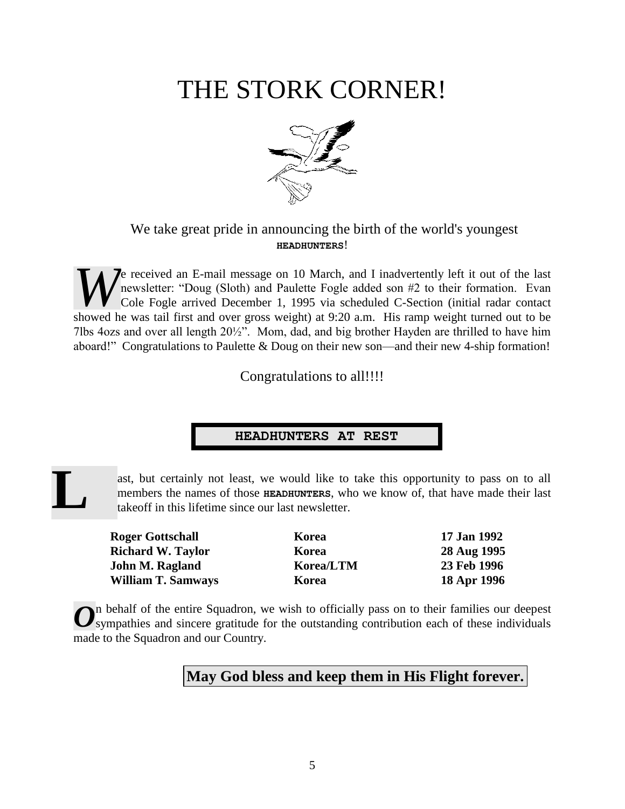## THE STORK CORNER!



#### We take great pride in announcing the birth of the world's youngest **HEADHUNTERS**!

**J**e received an E-mail message on 10 March, and I inadvertently left it out of the last newsletter: "Doug (Sloth) and Paulette Fogle added son #2 to their formation. Evan Cole Fogle arrived December 1, 1995 via scheduled C-Section (initial radar contact **Showed He was tail first and over gross weight) at 9:20 a.m. His ramp weight turned out to be**  $W$  **cole Fogle arrived December 1, 1995 via scheduled C-Section (initial radar contact showed he was tail first and over gross** 7lbs 4ozs and over all length 20½". Mom, dad, and big brother Hayden are thrilled to have him aboard!" Congratulations to Paulette & Doug on their new son—and their new 4-ship formation!

Congratulations to all!!!!

#### **HEADHUNTERS AT REST**

# **L**

ast, but certainly not least, we would like to take this opportunity to pass on to all members the names of those **HEADHUNTERS**, who we know of, that have made their last takeoff in this lifetime since our last newsletter.

**Roger Gottschall Korea 17 Jan 1992 Richard W. Taylor Korea 28 Aug 1995 John M. Ragland Korea/LTM 23 Feb 1996 William T. Samways Korea 18 Apr 1996**

n behalf of the entire Squadron, we wish to officially pass on to their families our deepest On behalf of the entire Squadron, we wish to officially pass on to their families our deepest sympathies and sincere gratitude for the outstanding contribution each of these individuals made to the Squadron and our Country.

#### **May God bless and keep them in His Flight forever.**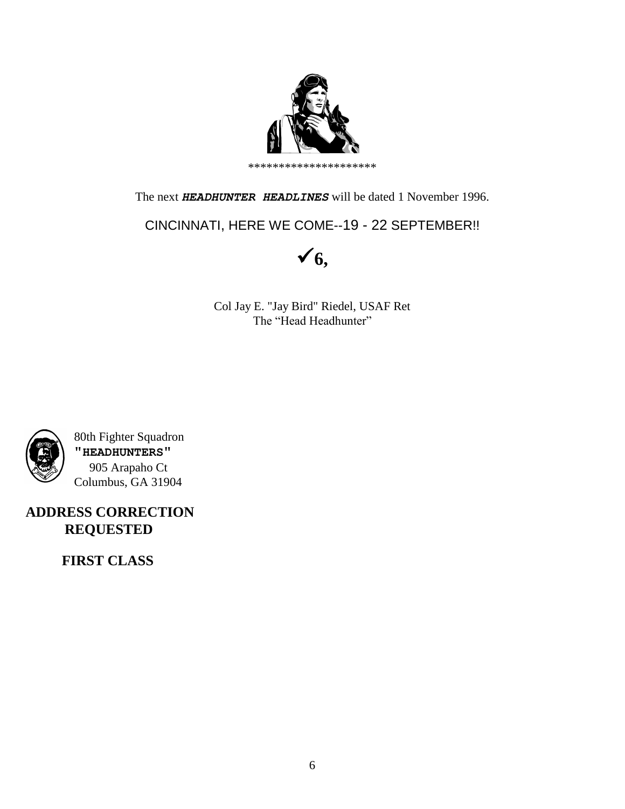

The next *HEADHUNTER HEADLINES* will be dated 1 November 1996.

CINCINNATI, HERE WE COME--19 - 22 SEPTEMBER!!



Col Jay E. "Jay Bird" Riedel, USAF Ret The "Head Headhunter"



 80th Fighter Squadron **"HEADHUNTERS"** 905 Arapaho Ct Columbus, GA 31904

**ADDRESS CORRECTION REQUESTED**

 **FIRST CLASS**